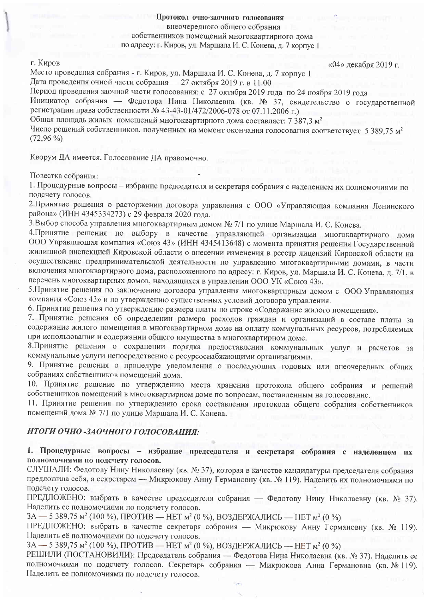# Протокол очно-заочного голосования внеочередного общего собрания собственников помещений многоквартирного дома по адресу: г. Киров, ул. Маршала И. С. Конева, д. 7 корпус 1

#### г. Киров

«04» декабря 2019 г.

Место проведения собрания - г. Киров, ул. Маршала И. С. Конева, д. 7 корпус 1 Дата проведения очной части собрания - 27 октября 2019 г. в 11.00 Период проведения заочной части голосования: с 27 октября 2019 года по 24 ноября 2019 года Инициатор собрания — Федотова Нина Николаевна (кв. № 37, свидетельство о государственной регистрации права собственности № 43-43-01/472/2006-078 от 07.11.2006 г.) Общая площадь жилых помещений многоквартирного дома составляет: 7 387,3 м<sup>2</sup> Число решений собственников, полученных на момент окончания голосования соответствует 5 389,75 м<sup>2</sup>  $(72,96\%)$ 

Кворум ДА имеется. Голосование ДА правомочно.

Повестка собрания:

1. Процедурные вопросы - избрание председателя и секретаря собрания с наделением их полномочиями по подсчету голосов.

2. Принятие решения о расторжении договора управления с ООО «Управляющая компания Ленинского района» (ИНН 4345334273) с 29 февраля 2020 года.

3. Выбор способа управления многоквартирным домом № 7/1 по улице Маршала И. С. Конева.

4. Принятие решения по выбору в качестве управляющей организации многоквартирного дома ООО Управляющая компания «Союз 43» (ИНН 4345413648) с момента принятия решения Государственной жилищной инспекцией Кировской области о внесении изменения в реестр лицензий Кировской области на осуществление предпринимательской деятельности по управлению многоквартирными домами, в части включения многоквартирного дома, расположенного по адресу: г. Киров, ул. Маршала И. С. Конева, д. 7/1, в перечень многоквартирных домов, находящихся в управлении ООО УК «Союз 43».

5. Принятие решения по заключению договора управления многоквартирным домом с ООО Управляющая компания «Союз 43» и по утверждению существенных условий договора управления.

6. Принятие решения по утверждению размера платы по строке «Содержание жилого помещения».

7. Принятие решения об определении размера расходов граждан и организаций в составе платы за содержание жилого помещения в многоквартирном доме на оплату коммунальных ресурсов, потребляемых при использовании и содержании общего имущества в многоквартирном доме.

8. Принятие решения о сохранении порядка предоставления коммунальных услуг и расчетов за коммунальные услуги непосредственно с ресурсоснабжающими организациями.

9. Принятие решения о процедуре уведомления о последующих годовых или внеочередных общих собраниях собственников помещений дома.

10. Принятие решение по утверждению места хранения протокола общего собрания и решений собственников помещений в многоквартирном доме по вопросам, поставленным на голосование.

11. Принятие решения по утверждению срока составления протокола общего собрания собственников помещений дома № 7/1 по улице Маршала И. С. Конева.

## ИТОГИ ОЧНО-ЗАОЧНОГО ГОЛОСОВАНИЯ:

1. Процедурные вопросы - избрание председателя и секретаря собрания с наделением их полномочиями по подсчету голосов.

СЛУШАЛИ: Федотову Нину Николаевну (кв. № 37), которая в качестве кандидатуры председателя собрания предложила себя, а секретарем - Микрюкову Анну Германовну (кв. № 119). Наделить их полномочиями по подсчету голосов.

ПРЕДЛОЖЕНО: выбрать в качестве председателя собрания - Федотову Нину Николаевну (кв. № 37). Наделить ее полномочиями по подсчету голосов.

ЗА — 5 389,75 м<sup>2</sup> (100 %), ПРОТИВ — НЕТ м<sup>2</sup> (0 %), ВОЗДЕРЖАЛИСЬ — НЕТ м<sup>2</sup> (0 %)

ПРЕДЛОЖЕНО: выбрать в качестве секретаря собрания — Микрюкову Анну Германовну (кв. № 119). Наделить её полномочиями по подсчету голосов.

ЗА — 5 389,75 м<sup>2</sup> (100 %), ПРОТИВ — НЕТ м<sup>2</sup> (0 %), ВОЗДЕРЖАЛИСЬ — НЕТ м<sup>2</sup> (0 %)

РЕШИЛИ (ПОСТАНОВИЛИ): Председатель собрания — Федотова Нина Николаевна (кв. № 37). Наделить ее полномочиями по подсчету голосов. Секретарь собрания - Микрюкова Анна Германовна (кв. № 119). Наделить ее полномочиями по подсчету голосов.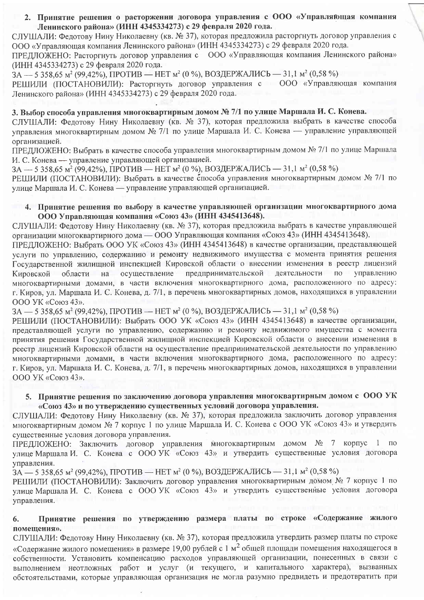2. Принятие решения о расторжении договора управления с ООО «Управляющая компания Ленинского района» (ИНН 4345334273) с 29 февраля 2020 года.

СЛУШАЛИ: Федотову Нину Николаевну (кв. № 37), которая предложила расторгнуть договор управления с ООО «Управляющая компания Ленинского района» (ИНН 4345334273) с 29 февраля 2020 года.

ПРЕДЛОЖЕНО: Расторгнуть договор управления с 000 «Управляющая компания Ленинского района» (ИНН 4345334273) с 29 февраля 2020 года.

3А — 5 358,65 м<sup>2</sup> (99,42%), ПРОТИВ — НЕТ м<sup>2</sup> (0 %), ВОЗДЕРЖАЛИСЬ — 31,1 м<sup>2</sup> (0,58 %) РЕШИЛИ (ПОСТАНОВИЛИ): Расторгнуть договор управления с 000 «Управляющая компания Ленинского района» (ИНН 4345334273) с 29 февраля 2020 года.

3. Выбор способа управления многоквартирным домом № 7/1 по улице Маршала И. С. Конева. СЛУШАЛИ: Фелотову Нину Николаевну (кв. № 37), которая предложила выбрать в качестве способа управления многоквартирным домом № 7/1 по улице Маршала И. С. Конева — управление управляющей организацией.

ПРЕДЛОЖЕНО: Выбрать в качестве способа управления многоквартирным домом № 7/1 по улице Маршала И. С. Конева — управление управляющей организацией.

ЗА — 5 358,65 м<sup>2</sup> (99,42%), ПРОТИВ — НЕТ м<sup>2</sup> (0 %), ВОЗДЕРЖАЛИСЬ — 31.1 м<sup>2</sup> (0.58 %)

РЕШИЛИ (ПОСТАНОВИЛИ): Выбрать в качестве способа управления многоквартирным домом № 7/1 по улице Маршала И. С. Конева — управление управляющей организацией.

#### 4. Принятие решения по выбору в качестве управляющей организации многоквартирного дома ООО Управляющая компания «Союз 43» (ИНН 4345413648).

СЛУШАЛИ: Федотову Нину Николаевну (кв. № 37), которая предложила выбрать в качестве управляющей организации многоквартирного дома — ООО Управляющая компания «Союз 43» (ИНН 4345413648).

ПРЕДЛОЖЕНО: Выбрать ООО УК «Союз 43» (ИНН 4345413648) в качестве организации, представляющей услуги по управлению, содержанию и ремонту недвижимого имущества с момента принятия решения Госуларственной жилишной инспекцией Кировской области о внесении изменения в реестр лицензий предпринимательской деятельности  $\overline{10}$ управлению на осуществление Кировской области многоквартирными домами, в части включения многоквартирного дома, расположенного по адресу: г. Киров, ул. Маршала И. С. Конева, д. 7/1, в перечень многоквартирных домов, находящихся в управлении ООО УК «Союз 43».

3А — 5 358.65 м<sup>2</sup> (99.42%), ПРОТИВ — НЕТ м<sup>2</sup> (0 %), ВОЗДЕРЖАЛИСЬ — 31,1 м<sup>2</sup> (0,58 %)

РЕШИЛИ (ПОСТАНОВИЛИ): Выбрать ООО УК «Союз 43» (ИНН 4345413648) в качестве организации, представляющей услуги по управлению, содержанию и ремонту недвижимого имущества с момента принятия решения Государственной жилищной инспекцией Кировской области о внесении изменения в реестр лицензий Кировской области на осуществление предпринимательской деятельности по управлению многоквартирными домами, в части включения многоквартирного дома, расположенного по адресу: г. Киров, ул. Маршала И. С. Конева, д. 7/1, в перечень многоквартирных домов, находящихся в управлении ООО УК «Союз 43».

#### 5. Принятие решения по заключению договора управления многоквартирным домом с ООО УК «Союз 43» и по утверждению существенных условий договора управления.

СЛУШАЛИ: Федотову Нину Николаевну (кв. № 37), которая предложила заключить договор управления многоквартирным домом № 7 корпус 1 по улице Маршала И. С. Конева с ООО УК «Союз 43» и утвердить существенные условия договора управления.

ПРЕДЛОЖЕНО: Заключить договор управления многоквартирным домом № 7 корпус 1 по улице Маршала И. С. Конева с ООО УК «Союз 43» и утвердить существенные условия договора управления.

3A - 5 358,65 м<sup>2</sup> (99,42%), ПРОТИВ - НЕТ м<sup>2</sup> (0 %), ВОЗДЕРЖАЛИСЬ - 31,1 м<sup>2</sup> (0,58 %)

РЕШИЛИ (ПОСТАНОВИЛИ): Заключить договор управления многоквартирным домом № 7 корпус 1 по улице Маршала И. С. Конева с ООО УК «Союз 43» и утвердить существенные условия договора управления.

#### Принятие решения по утверждению размера платы по строке «Содержание жилого 6. помешения».

СЛУШАЛИ: Федотову Нину Николаевну (кв. № 37), которая предложила утвердить размер платы по строке «Содержание жилого помещения» в размере 19,00 рублей с 1 м<sup>2</sup> общей площади помещения находящегося в собственности. Установить компенсацию расходов управляющей организации, понесенных в связи с выполнением неотложных работ и услуг (и текущего, и капитального характера), вызванных обстоятельствами, которые управляющая организация не могла разумно предвидеть и предотвратить при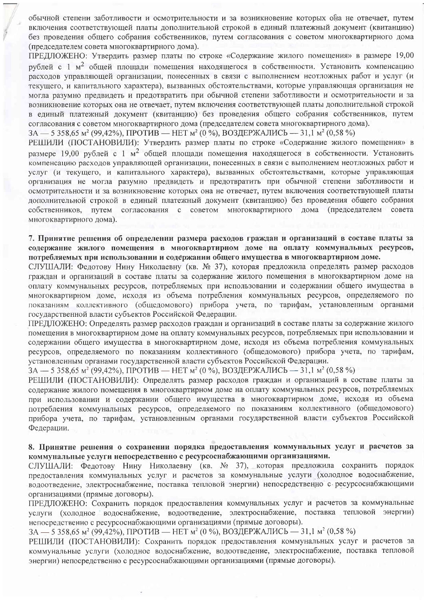обычной степени заботливости и осмотрительности и за возникновение которых она не отвечает, путем включения соответствующей платы дополнительной строкой в единый платежный документ (квитанцию) без проведения общего собрания собственников, путем согласования с советом многоквартирного дома (председателем совета многоквартирного дома).

ПРЕДЛОЖЕНО: Утвердить размер платы по строке «Содержание жилого помещения» в размере 19,00 рублей с 1 м<sup>2</sup> общей площади помещения находящегося в собственности. Установить компенсацию расходов управляющей организации, понесенных в связи с выполнением неотложных работ и услуг (и текущего, и капитального характера), вызванных обстоятельствами, которые управляющая организация не могла разумно предвидеть и предотвратить при обычной степени заботливости и осмотрительности и за возникновение которых она не отвечает, путем включения соответствующей платы дополнительной строкой в единый платежный документ (квитанцию) без проведения общего собрания собственников, путем согласования с советом многоквартирного дома (председателем совета многоквартирного дома).

 $3A - 5358.65$   $\mu^2$  (99.42%),  $\Pi$ POTHB – HET  $\mu^2$  (0 %), BO3*I*IEPXAJIHCb – 31,1  $\mu^2$  (0.58 %)

РЕШИЛИ (ПОСТАНОВИЛИ): Утвердить размер платы по строке «Содержание жилого помещения» в размере 19.00 рублей с 1 м<sup>2</sup> общей плошали помещения находящегося в собственности. Установить компенсацию расходов управляющей организации, понесенных в связи с выполнением неотложных работ и услуг (и текущего, и капитального характера), вызванных обстоятельствами, которые управляющая организация не могла разумно предвидеть и предотвратить при обычной степени заботливости и осмотрительности и за возникновение которых она не отвечает, путем включения соответствующей платы дополнительной строкой в единый платежный документ (квитанцию) без проведения общего собрания согласования с советом многоквартирного дома (председателем совета собственников. **ITVTEM** многоквартирного дома).

7. Принятие решения об определении размера расходов граждан и организаций в составе платы за содержание жилого помешения в многоквартирном доме на оплату коммунальных ресурсов, потребляемых при использовании и содержании общего имущества в многоквартирном доме.

СЛУШАЛИ: Федотову Нину Николаевну (кв. № 37), которая предложила определять размер расходов граждан и организаций в составе платы за содержание жилого помещения в многоквартирном доме на оплату коммунальных ресурсов, потребляемых при использовании и содержании общего имущества в многоквартирном доме, исходя из объема потребления коммунальных ресурсов, определяемого по показаниям коллективного (общедомового) прибора учета, по тарифам, установленным органами государственной власти субъектов Российской Федерации.

ПРЕДЛОЖЕНО: Определять размер расходов граждан и организаций в составе платы за содержание жилого помещения в многоквартирном доме на оплату коммунальных ресурсов, потребляемых при использовании и содержании общего имущества в многоквартирном доме, исходя из объема потребления коммунальных ресурсов, определяемого по показаниям коллективного (общедомового) прибора учета, по тарифам, установленным органами государственной власти субъектов Российской Федерации.

 $3A - 5358,65$   $\text{M}^2$  (99,42%),  $\text{TPOTHB}$  - HET  $\text{M}^2$  (0 %), BO3 ДЕРЖАЛИСЬ - 31,1  $\text{M}^2$  (0,58 %)

РЕШИЛИ (ПОСТАНОВИЛИ): Определять размер расходов граждан и организаций в составе платы за содержание жилого помещения в многоквартирном доме на оплату коммунальных ресурсов, потребляемых при использовании и содержании общего имущества в многоквартирном доме, исходя из объема потребления коммунальных ресурсов, определяемого по показаниям коллективного (общедомового) прибора учета, по тарифам, установленным органами государственной власти субъектов Российской Федерации.

# 8. Принятие решения о сохранении порядка предоставления коммунальных услуг и расчетов за коммунальные услуги непосредственно с ресурсоснабжающими организациями.

СЛУШАЛИ: Фелотову Нину Николаевну (кв. № 37), которая предложила сохранить порядок предоставления коммунальных услуг и расчетов за коммунальные услуги (холодное водоснабжение, водоотведение, электроснабжение, поставка тепловой энергии) непосредственно с ресурсоснабжающими организациями (прямые договоры).

ПРЕДЛОЖЕНО: Сохранить порядок предоставления коммунальных услуг и расчетов за коммунальные услуги (холодное водоснабжение, водоотведение, электроснабжение, поставка тепловой энергии) непосредственно с ресурсоснабжающими организациями (прямые договоры).

ЗА — 5 358,65 м<sup>2</sup> (99,42%), ПРОТИВ — НЕТ м<sup>2</sup> (0 %), ВОЗДЕРЖАЛИСЬ — 31,1 м<sup>2</sup> (0,58 %)

РЕШИЛИ (ПОСТАНОВИЛИ): Сохранить порядок предоставления коммунальных услуг и расчетов за коммунальные услуги (холодное водоснабжение, водоотведение, электроснабжение, поставка тепловой энергии) непосредственно с ресурсоснабжающими организациями (прямые договоры).